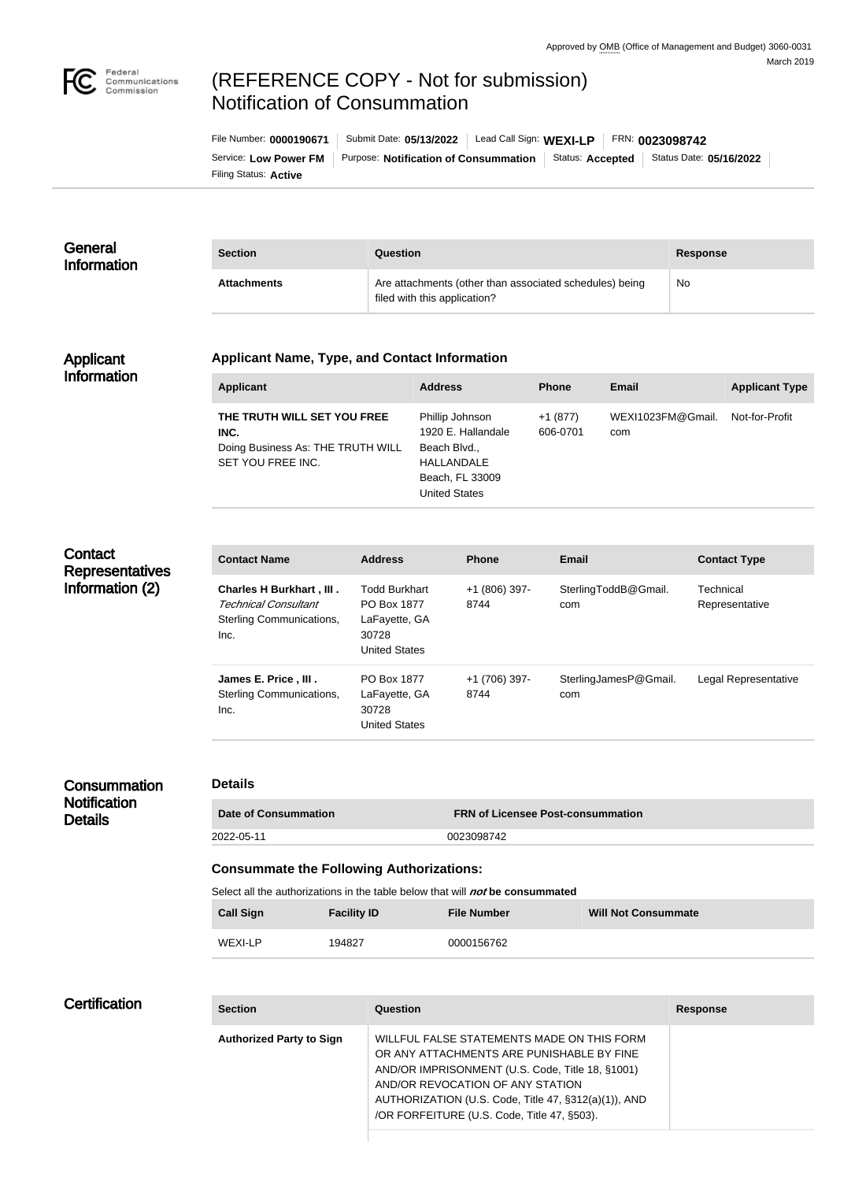

# (REFERENCE COPY - Not for submission) Notification of Consummation

Filing Status: **Active** Service: Low Power FM | Purpose: Notification of Consummation | Status: Accepted | Status Date: 05/16/2022 File Number: **0000190671** Submit Date: **05/13/2022** Lead Call Sign: **WEXI-LP** FRN: **0023098742**

| General<br><b>Information</b> | <b>Section</b>     | Question                                                                                | <b>Response</b> |
|-------------------------------|--------------------|-----------------------------------------------------------------------------------------|-----------------|
|                               | <b>Attachments</b> | Are attachments (other than associated schedules) being<br>filed with this application? | No              |

#### Applicant Information

### **Applicant Name, Type, and Contact Information**

| <b>Applicant</b>                                                                              | <b>Address</b>                                                                                                 | <b>Phone</b>          | Email                    | <b>Applicant Type</b> |
|-----------------------------------------------------------------------------------------------|----------------------------------------------------------------------------------------------------------------|-----------------------|--------------------------|-----------------------|
| THE TRUTH WILL SET YOU FREE<br>INC.<br>Doing Business As: THE TRUTH WILL<br>SET YOU FREE INC. | Phillip Johnson<br>1920 E. Hallandale<br>Beach Blvd.,<br>HALLANDALE<br>Beach, FL 33009<br><b>United States</b> | $+1(877)$<br>606-0701 | WEXI1023FM@Gmail.<br>com | Not-for-Profit        |

# **Contact Representatives** Information (2)

| <b>Contact Name</b>                                                                         | <b>Address</b>                                                                        | <b>Phone</b>          | <b>Email</b>                 | <b>Contact Type</b>         |
|---------------------------------------------------------------------------------------------|---------------------------------------------------------------------------------------|-----------------------|------------------------------|-----------------------------|
| <b>Charles H Burkhart, III.</b><br>Technical Consultant<br>Sterling Communications,<br>Inc. | <b>Todd Burkhart</b><br>PO Box 1877<br>LaFayette, GA<br>30728<br><b>United States</b> | +1 (806) 397-<br>8744 | SterlingToddB@Gmail.<br>com  | Technical<br>Representative |
| James E. Price, III.<br>Sterling Communications,<br>Inc.                                    | PO Box 1877<br>LaFayette, GA<br>30728<br><b>United States</b>                         | +1 (706) 397-<br>8744 | SterlingJamesP@Gmail.<br>com | Legal Representative        |

#### **Consummation Notification Details**

#### **Details**

| <b>Date of Consummation</b> | <b>FRN of Licensee Post-consummation</b> |
|-----------------------------|------------------------------------------|
| 2022-05-11                  | 0023098742                               |

#### **Consummate the Following Authorizations:**

Select all the authorizations in the table below that will **not** be consummated

| <b>Call Sign</b> | <b>Facility ID</b> | <b>File Number</b> | <b>Will Not Consummate</b> |
|------------------|--------------------|--------------------|----------------------------|
| WEXI-LP          | 194827             | 0000156762         |                            |

# **Certification**

| <b>Section</b>                  | Question                                                                                                                                                                                                                                                                               | <b>Response</b> |
|---------------------------------|----------------------------------------------------------------------------------------------------------------------------------------------------------------------------------------------------------------------------------------------------------------------------------------|-----------------|
| <b>Authorized Party to Sign</b> | WILLFUL FALSE STATEMENTS MADE ON THIS FORM<br>OR ANY ATTACHMENTS ARE PUNISHABLE BY FINE<br>AND/OR IMPRISONMENT (U.S. Code, Title 18, §1001)<br>AND/OR REVOCATION OF ANY STATION<br>AUTHORIZATION (U.S. Code, Title 47, §312(a)(1)), AND<br>/OR FORFEITURE (U.S. Code, Title 47, §503). |                 |